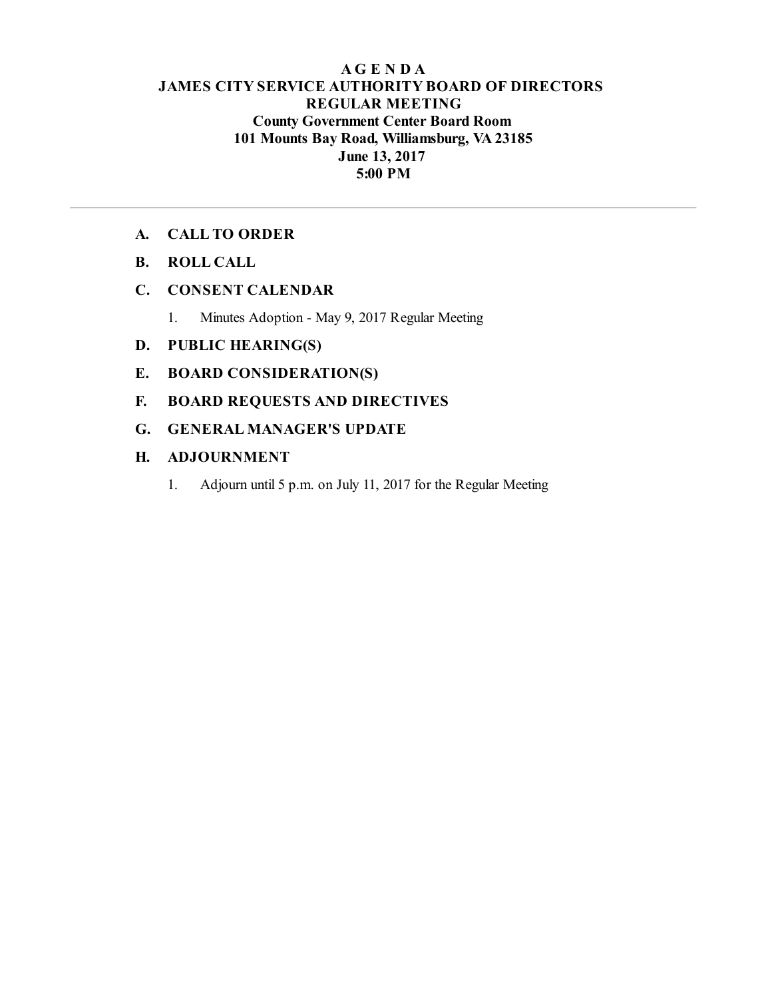## **AG E N D A JAMES CITY SERVICE AUTHORITY BOARD OF DIRECTORS REGULAR MEETING County Government Center Board Room 101 Mounts Bay Road, Williamsburg, VA23185 June 13, 2017 5:00 PM**

### **A. CALL TO ORDER**

**B. ROLL CALL**

## **C. CONSENT CALENDAR**

1. Minutes Adoption - May 9, 2017 Regular Meeting

## **D. PUBLIC HEARING(S)**

- **E. BOARD CONSIDERATION(S)**
- **F. BOARD REQUESTS AND DIRECTIVES**
- **G. GENERAL MANAGER'S UPDATE**

### **H. ADJOURNMENT**

1. Adjourn until 5 p.m. on July 11, 2017 for the Regular Meeting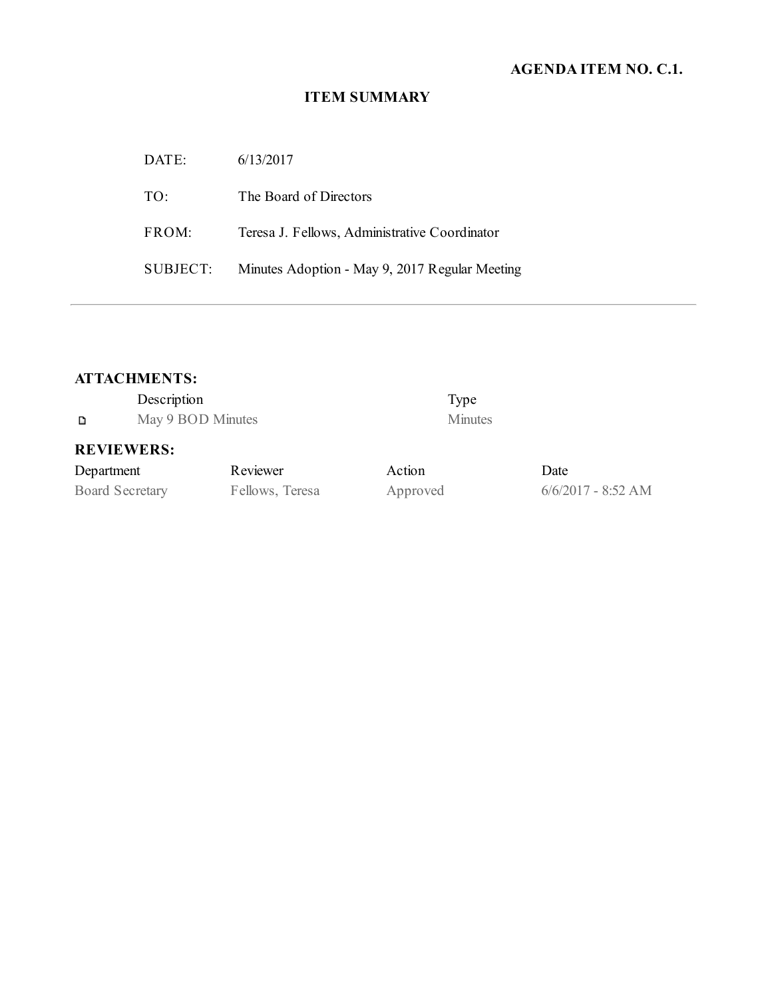# **AGENDA ITEM NO. C.1.**

# **ITEM SUMMARY**

| DATE:    | 6/13/2017                                      |
|----------|------------------------------------------------|
| TO:      | The Board of Directors                         |
| FROM:    | Teresa J. Fellows, Administrative Coordinator  |
| SUBJECT: | Minutes Adoption - May 9, 2017 Regular Meeting |

# **ATTACHMENTS:**

|            | Description       |             |                | Type           |
|------------|-------------------|-------------|----------------|----------------|
| D          | May 9 BOD Minutes |             |                | <b>Minutes</b> |
|            | <b>REVIEWERS:</b> |             |                |                |
| Denartment |                   | $R$ eviewer | $\Delta$ etion |                |

# **REVIEWERS:**

| Department             | Reviewer        | Action   | Date   |
|------------------------|-----------------|----------|--------|
| <b>Board Secretary</b> | Fellows, Teresa | Approved | 6/6/20 |

 $\epsilon$  September 6/6/2017 - 8:52 AM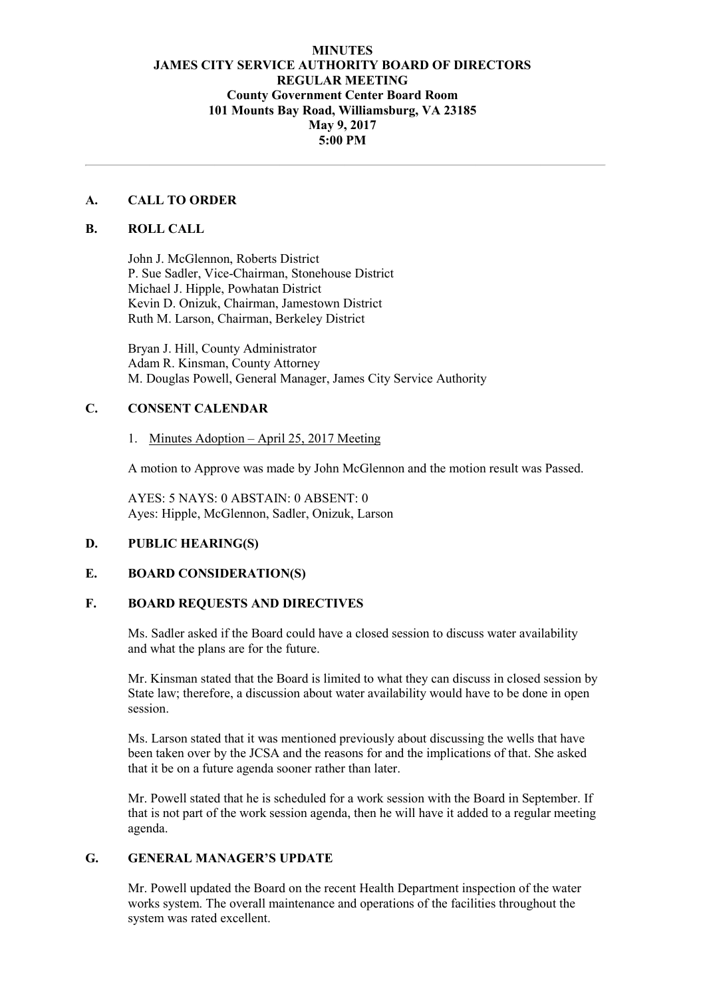### **MINUTES JAMES CITY SERVICE AUTHORITY BOARD OF DIRECTORS REGULAR MEETING County Government Center Board Room 101 Mounts Bay Road, Williamsburg, VA 23185 May 9, 2017 5:00 PM**

### **A. CALL TO ORDER**

#### **B. ROLL CALL**

John J. McGlennon, Roberts District P. Sue Sadler, Vice-Chairman, Stonehouse District Michael J. Hipple, Powhatan District Kevin D. Onizuk, Chairman, Jamestown District Ruth M. Larson, Chairman, Berkeley District

Bryan J. Hill, County Administrator Adam R. Kinsman, County Attorney M. Douglas Powell, General Manager, James City Service Authority

### **C. CONSENT CALENDAR**

#### 1. Minutes Adoption – April 25, 2017 Meeting

A motion to Approve was made by John McGlennon and the motion result was Passed.

AYES: 5 NAYS: 0 ABSTAIN: 0 ABSENT: 0 Ayes: Hipple, McGlennon, Sadler, Onizuk, Larson

#### **D. PUBLIC HEARING(S)**

#### **E. BOARD CONSIDERATION(S)**

### **F. BOARD REQUESTS AND DIRECTIVES**

Ms. Sadler asked if the Board could have a closed session to discuss water availability and what the plans are for the future.

Mr. Kinsman stated that the Board is limited to what they can discuss in closed session by State law; therefore, a discussion about water availability would have to be done in open session.

Ms. Larson stated that it was mentioned previously about discussing the wells that have been taken over by the JCSA and the reasons for and the implications of that. She asked that it be on a future agenda sooner rather than later.

Mr. Powell stated that he is scheduled for a work session with the Board in September. If that is not part of the work session agenda, then he will have it added to a regular meeting agenda.

### **G. GENERAL MANAGER'S UPDATE**

Mr. Powell updated the Board on the recent Health Department inspection of the water works system. The overall maintenance and operations of the facilities throughout the system was rated excellent.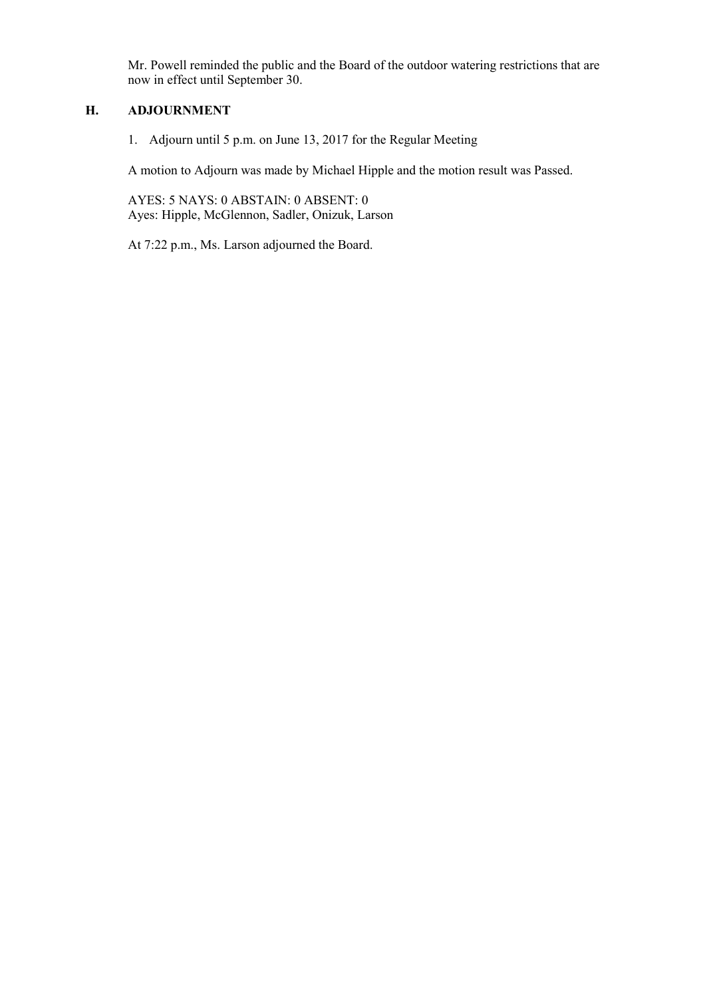Mr. Powell reminded the public and the Board of the outdoor watering restrictions that are now in effect until September 30.

### **H. ADJOURNMENT**

1. Adjourn until 5 p.m. on June 13, 2017 for the Regular Meeting

A motion to Adjourn was made by Michael Hipple and the motion result was Passed.

AYES: 5 NAYS: 0 ABSTAIN: 0 ABSENT: 0 Ayes: Hipple, McGlennon, Sadler, Onizuk, Larson

At 7:22 p.m., Ms. Larson adjourned the Board.